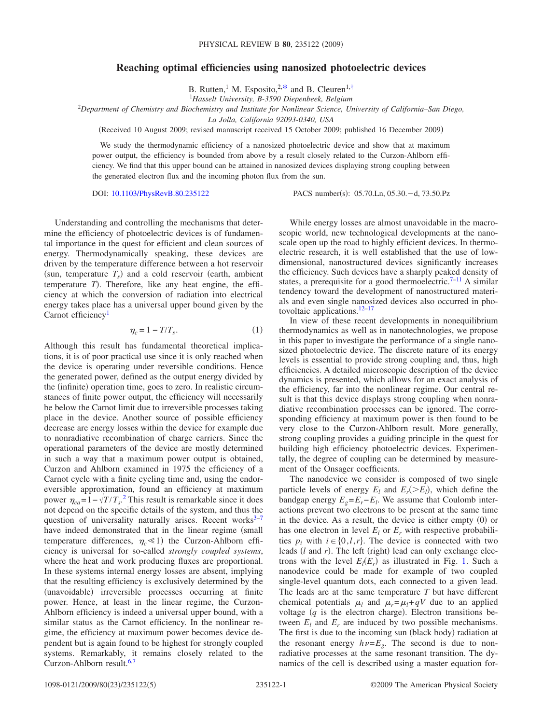## **Reaching optimal efficiencies using nanosized photoelectric devices**

B. Rutten,<sup>1</sup> M. Esposito,<sup>2[,\\*](#page-3-0)</sup> and B. Cleuren<sup>1[,†](#page-3-1)</sup>

1 *Hasselt University, B-3590 Diepenbeek, Belgium*

2 *Department of Chemistry and Biochemistry and Institute for Nonlinear Science, University of California–San Diego,*

*La Jolla, California 92093-0340, USA*

Received 10 August 2009; revised manuscript received 15 October 2009; published 16 December 2009-

We study the thermodynamic efficiency of a nanosized photoelectric device and show that at maximum power output, the efficiency is bounded from above by a result closely related to the Curzon-Ahlborn efficiency. We find that this upper bound can be attained in nanosized devices displaying strong coupling between the generated electron flux and the incoming photon flux from the sun.

DOI: [10.1103/PhysRevB.80.235122](http://dx.doi.org/10.1103/PhysRevB.80.235122)

PACS number(s):  $05.70.Ln$ ,  $05.30.-d$ ,  $73.50.Pz$ 

Understanding and controlling the mechanisms that determine the efficiency of photoelectric devices is of fundamental importance in the quest for efficient and clean sources of energy. Thermodynamically speaking, these devices are driven by the temperature difference between a hot reservoir (sun, temperature  $T_s$ ) and a cold reservoir (earth, ambient temperature *T*). Therefore, like any heat engine, the efficiency at which the conversion of radiation into electrical energy takes place has a universal upper bound given by the Carnot efficiency<sup>1</sup>

$$
\eta_c = 1 - T/T_s. \tag{1}
$$

Although this result has fundamental theoretical implications, it is of poor practical use since it is only reached when the device is operating under reversible conditions. Hence the generated power, defined as the output energy divided by the (infinite) operation time, goes to zero. In realistic circumstances of finite power output, the efficiency will necessarily be below the Carnot limit due to irreversible processes taking place in the device. Another source of possible efficiency decrease are energy losses within the device for example due to nonradiative recombination of charge carriers. Since the operational parameters of the device are mostly determined in such a way that a maximum power output is obtained, Curzon and Ahlborn examined in 1975 the efficiency of a Carnot cycle with a finite cycling time and, using the endoreversible approximation, found an efficiency at maximum power  $\eta_{ca} = 1 - \sqrt{T/T_s}$ .<sup>[2](#page-3-3)</sup> This result is remarkable since it does not depend on the specific details of the system, and thus the question of universality naturally arises. Recent works $3-7$ have indeed demonstrated that in the linear regime (small temperature differences,  $\eta_c \ll 1$ ) the Curzon-Ahlborn efficiency is universal for so-called *strongly coupled systems*, where the heat and work producing fluxes are proportional. In these systems internal energy losses are absent, implying that the resulting efficiency is exclusively determined by the (unavoidable) irreversible processes occurring at finite power. Hence, at least in the linear regime, the Curzon-Ahlborn efficiency is indeed a universal upper bound, with a similar status as the Carnot efficiency. In the nonlinear regime, the efficiency at maximum power becomes device dependent but is again found to be highest for strongly coupled systems. Remarkably, it remains closely related to the Curzon-Ahlborn result.<sup>6,[7](#page-3-5)</sup>

While energy losses are almost unavoidable in the macroscopic world, new technological developments at the nanoscale open up the road to highly efficient devices. In thermoelectric research, it is well established that the use of lowdimensional, nanostructured devices significantly increases the efficiency. Such devices have a sharply peaked density of states, a prerequisite for a good thermoelectric.<sup>7[–11](#page-4-0)</sup> A similar tendency toward the development of nanostructured materials and even single nanosized devices also occurred in photovoltaic applications[.12](#page-4-1)[–17](#page-4-2)

In view of these recent developments in nonequilibrium thermodynamics as well as in nanotechnologies, we propose in this paper to investigate the performance of a single nanosized photoelectric device. The discrete nature of its energy levels is essential to provide strong coupling and, thus, high efficiencies. A detailed microscopic description of the device dynamics is presented, which allows for an exact analysis of the efficiency, far into the nonlinear regime. Our central result is that this device displays strong coupling when nonradiative recombination processes can be ignored. The corresponding efficiency at maximum power is then found to be very close to the Curzon-Ahlborn result. More generally, strong coupling provides a guiding principle in the quest for building high efficiency photoelectric devices. Experimentally, the degree of coupling can be determined by measurement of the Onsager coefficients.

The nanodevice we consider is composed of two single particle levels of energy  $E_l$  and  $E_r$ ( $>E_l$ ), which define the bandgap energy  $E_g = E_r - E_l$ . We assume that Coulomb interactions prevent two electrons to be present at the same time in the device. As a result, the device is either empty  $(0)$  or has one electron in level  $E_l$  or  $E_r$  with respective probabilities  $p_i$  with  $i \in \{0, l, r\}$ . The device is connected with two leads (*l* and *r*). The left (right) lead can only exchange electrons with the level  $E_l(E_r)$  as illustrated in Fig. [1.](#page-1-0) Such a nanodevice could be made for example of two coupled single-level quantum dots, each connected to a given lead. The leads are at the same temperature *T* but have different chemical potentials  $\mu_l$  and  $\mu_r = \mu_l + qV$  due to an applied voltage  $(q$  is the electron charge). Electron transitions between  $E_l$  and  $E_r$  are induced by two possible mechanisms. The first is due to the incoming sun (black body) radiation at the resonant energy  $h\nu=E_g$ . The second is due to nonradiative processes at the same resonant transition. The dynamics of the cell is described using a master equation for-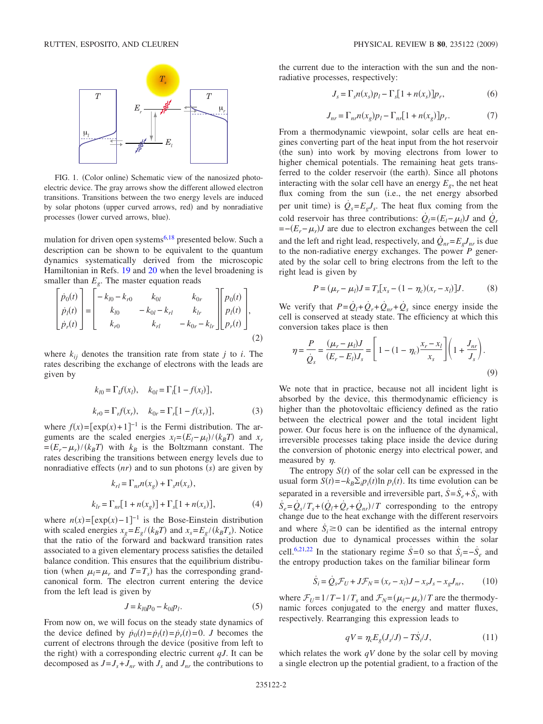<span id="page-1-0"></span>

FIG. 1. (Color online) Schematic view of the nanosized photoelectric device. The gray arrows show the different allowed electron transitions. Transitions between the two energy levels are induced by solar photons (upper curved arrows, red) and by nonradiative processes (lower curved arrows, blue).

mulation for driven open systems<sup>6,[18](#page-4-3)</sup> presented below. Such a description can be shown to be equivalent to the quantum dynamics systematically derived from the microscopic Hamiltonian in Refs. [19](#page-4-4) and [20](#page-4-5) when the level broadening is smaller than  $E_g$ . The master equation reads

$$
\begin{bmatrix} \dot{p}_0(t) \\ \dot{p}_l(t) \\ \dot{p}_r(t) \end{bmatrix} = \begin{bmatrix} -k_{l0} - k_{r0} & k_{0l} & k_{0r} \\ k_{l0} & -k_{0l} - k_{rl} & k_{lr} \\ k_{r0} & k_{rl} & -k_{0r} - k_{lr} \end{bmatrix} \begin{bmatrix} p_0(t) \\ p_l(t) \\ p_r(t) \end{bmatrix},
$$
\n(2)

where  $k_{ij}$  denotes the transition rate from state  $j$  to  $i$ . The rates describing the exchange of electrons with the leads are given by

$$
k_{l0} = \Gamma_l f(x_l), \quad k_{0l} = \Gamma_l [1 - f(x_l)],
$$
  
\n
$$
k_{r0} = \Gamma_r f(x_r), \quad k_{0r} = \Gamma_r [1 - f(x_r)],
$$
\n(3)

where  $f(x) = [\exp(x) + 1]^{-1}$  is the Fermi distribution. The arguments are the scaled energies  $x_l = (E_l - \mu_l) / (k_B T)$  and  $x_r$  $=(E_r - \mu_r)/(k_B T)$  with  $k_B$  is the Boltzmann constant. The rates describing the transitions between energy levels due to nonradiative effects  $(nr)$  and to sun photons  $(s)$  are given by

$$
k_{rl} = \Gamma_{nr} n(x_g) + \Gamma_s n(x_s),
$$
  
\n
$$
k_{lr} = \Gamma_{nr} [1 + n(x_g)] + \Gamma_s [1 + n(x_s)],
$$
\n(4)

where  $n(x) = [\exp(x) - 1]^{-1}$  is the Bose-Einstein distribution with scaled energies  $x_g = E_g / (k_B T)$  and  $x_s = E_g / (k_B T_s)$ . Notice that the ratio of the forward and backward transition rates associated to a given elementary process satisfies the detailed balance condition. This ensures that the equilibrium distribution (when  $\mu_l = \mu_r$  and  $T = T_s$ ) has the corresponding grandcanonical form. The electron current entering the device from the left lead is given by

$$
J = k_{l0} p_0 - k_{0l} p_l. \tag{5}
$$

From now on, we will focus on the steady state dynamics of the device defined by  $\dot{p}_0(t) = \dot{p}_1(t) = \dot{p}_r(t) = 0$ . *J* becomes the current of electrons through the device (positive from left to the right) with a corresponding electric current  $qJ$ . It can be decomposed as  $J = J_s + J_{nr}$  with  $J_s$  and  $J_{nr}$  the contributions to the current due to the interaction with the sun and the nonradiative processes, respectively:

$$
J_s = \Gamma_s n(x_s) p_l - \Gamma_s [1 + n(x_s)] p_r, \qquad (6)
$$

$$
J_{nr} = \Gamma_{nr} n(x_g) p_l - \Gamma_{nr} [1 + n(x_g)] p_r. \tag{7}
$$

From a thermodynamic viewpoint, solar cells are heat engines converting part of the heat input from the hot reservoir (the sun) into work by moving electrons from lower to higher chemical potentials. The remaining heat gets transferred to the colder reservoir (the earth). Since all photons interacting with the solar cell have an energy  $E_g$ , the net heat flux coming from the sun (i.e., the net energy absorbed per unit time) is  $\dot{Q}_s = E_g J_s$ . The heat flux coming from the cold reservoir has three contributions:  $\dot{Q}_l = (E_l - \mu_l)J$  and  $\dot{Q}_r$ =−*Er*−*r*-*J* are due to electron exchanges between the cell and the left and right lead, respectively, and  $Q_{nr} = E_{\varphi} J_{nr}$  is due to the non-radiative energy exchanges. The power *P* generated by the solar cell to bring electrons from the left to the right lead is given by

$$
P = (\mu_r - \mu_l)J = T_s[x_s - (1 - \eta_c)(x_r - x_l)]J. \tag{8}
$$

<span id="page-1-2"></span>We verify that  $P = Q_l + Q_r + Q_{nr} + Q_s$  since energy inside the cell is conserved at steady state. The efficiency at which this conversion takes place is then

$$
\eta = \frac{P}{\dot{Q}_s} = \frac{(\mu_r - \mu_l)J}{(E_r - E_l)J_s} = \left[1 - (1 - \eta_c) \frac{x_r - x_l}{x_s}\right] \left(1 + \frac{J_{nr}}{J_s}\right). \tag{9}
$$

We note that in practice, because not all incident light is absorbed by the device, this thermodynamic efficiency is higher than the photovoltaic efficiency defined as the ratio between the electrical power and the total incident light power. Our focus here is on the influence of the dynamical, irreversible processes taking place inside the device during the conversion of photonic energy into electrical power, and measured by  $\eta$ .

The entropy  $S(t)$  of the solar cell can be expressed in the usual form  $S(t) = -k_B \sum_i p_i(t) \ln p_i(t)$ . Its time evolution can be separated in a reversible and irreversible part,  $\dot{S} = \dot{S}_e + \dot{S}_i$ , with  $\dot{S}_e = \dot{Q}_s / T_s + (\dot{Q}_l + \dot{Q}_r + \dot{Q}_{nr}) / T$  corresponding to the entropy change due to the heat exchange with the different reservoirs and where  $\dot{S}_i \ge 0$  can be identified as the internal entropy production due to dynamical processes within the solar cell.<sup>6[,21,](#page-4-6)[22](#page-4-7)</sup> In the stationary regime  $\dot{S} = 0$  so that  $\dot{S}_i = -\dot{S}_e$  and the entropy production takes on the familiar bilinear form

$$
\dot{S}_i = \dot{Q}_s \mathcal{F}_U + J \mathcal{F}_N = (x_r - x_l)J - x_s J_s - x_g J_{nr},\qquad(10)
$$

<span id="page-1-1"></span>where  $\mathcal{F}_U = 1/T - 1/T_s$  and  $\mathcal{F}_N = (\mu_l - \mu_r)/T$  are the thermodynamic forces conjugated to the energy and matter fluxes, respectively. Rearranging this expression leads to

$$
qV = \eta_c E_g(J_s/J) - T\dot{S}_i/J,\tag{11}
$$

which relates the work *qV* done by the solar cell by moving a single electron up the potential gradient, to a fraction of the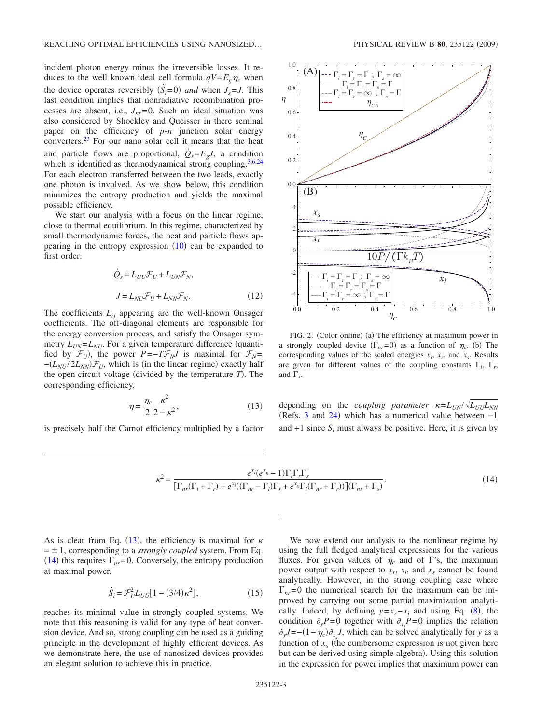incident photon energy minus the irreversible losses. It reduces to the well known ideal cell formula  $qV = E_g \eta_c$  when the device operates reversibly  $(\dot{S}_i=0)$  *and* when  $J_s = J$ . This last condition implies that nonradiative recombination processes are absent, i.e.,  $J_{nr} = 0$ . Such an ideal situation was also considered by Shockley and Queisser in there seminal paper on the efficiency of *p*-*n* junction solar energy converters[.23](#page-4-8) For our nano solar cell it means that the heat and particle flows are proportional,  $\dot{Q}_s = E_g J$ , a condition which is identified as thermodynamical strong coupling.<sup>3,[6](#page-3-6)[,24](#page-4-9)</sup> For each electron transferred between the two leads, exactly one photon is involved. As we show below, this condition minimizes the entropy production and yields the maximal possible efficiency.

We start our analysis with a focus on the linear regime, close to thermal equilibrium. In this regime, characterized by small thermodynamic forces, the heat and particle flows appearing in the entropy expression  $(10)$  $(10)$  $(10)$  can be expanded to first order:

$$
\dot{Q}_s = L_{UU} \mathcal{F}_U + L_{UN} \mathcal{F}_N,
$$
  

$$
J = L_{NU} \mathcal{F}_U + L_{NN} \mathcal{F}_N.
$$
 (12)

The coefficients  $L_{ii}$  appearing are the well-known Onsager coefficients. The off-diagonal elements are responsible for the energy conversion process, and satisfy the Onsager symmetry  $L_{UN} = L_{NU}$ . For a given temperature difference (quantified by  $\mathcal{F}_U$ ), the power *P*=−*T* $\mathcal{F}_N$ *J* is maximal for  $\mathcal{F}_N$ =  $-(L_{NU}/2L_{NN})\mathcal{F}_U$ , which is (in the linear regime) exactly half the open circuit voltage (divided by the temperature  $T$ ). The corresponding efficiency,

$$
\eta = \frac{\eta_c}{2} \frac{\kappa^2}{2 - \kappa^2},\tag{13}
$$

<span id="page-2-1"></span><span id="page-2-0"></span>is precisely half the Carnot efficiency multiplied by a factor

<span id="page-2-2"></span>

FIG. 2. (Color online) (a) The efficiency at maximum power in a strongly coupled device  $(\Gamma_{nr}=0)$  as a function of  $\eta_c$ . (b) The corresponding values of the scaled energies  $x_l$ ,  $x_r$ , and  $x_s$ . Results are given for different values of the coupling constants  $\Gamma$ ,  $\Gamma$ <sub>r</sub>, and  $\Gamma_{s}$ .

depending on the *coupling parameter*  $\kappa = L_{UN} / \sqrt{L_{UU}L_{NN}}$ (Refs. [3](#page-3-4) and [24](#page-4-9)) which has a numerical value between  $-1$ and  $+1$  since  $\dot{S}_i$  must always be positive. Here, it is given by

$$
\kappa^2 = \frac{e^{x_l}(e^{x_s}-1)\Gamma_l\Gamma_r\Gamma_s}{\left[\Gamma_{nr}(\Gamma_l+\Gamma_r)+e^{x_l}((\Gamma_{nr}-\Gamma_l)\Gamma_r+e^{x_s}\Gamma_l(\Gamma_{nr}+\Gamma_r))\right](\Gamma_{nr}+\Gamma_s)}.
$$
\n(14)

As is clear from Eq. ([13](#page-2-0)), the efficiency is maximal for  $\kappa$  $= \pm 1$ , corresponding to a *strongly coupled* system. From Eq. ([14](#page-2-1)) this requires  $\Gamma_{nr}$ =0. Conversely, the entropy production at maximal power,

$$
\dot{S}_i = \mathcal{F}_U^2 L_{UU} [1 - (3/4)\kappa^2],\tag{15}
$$

reaches its minimal value in strongly coupled systems. We note that this reasoning is valid for any type of heat conversion device. And so, strong coupling can be used as a guiding principle in the development of highly efficient devices. As we demonstrate here, the use of nanosized devices provides an elegant solution to achieve this in practice.

We now extend our analysis to the nonlinear regime by using the full fledged analytical expressions for the various fluxes. For given values of  $\eta_c$  and of  $\Gamma$ 's, the maximum power output with respect to  $x_r$ ,  $x_l$ , and  $x_s$  cannot be found analytically. However, in the strong coupling case where  $\Gamma_{nr}$ =0 the numerical search for the maximum can be improved by carrying out some partial maximization analytically. Indeed, by defining  $y=x_r-x_l$  and using Eq. ([8](#page-1-2)), the condition  $\partial_y P = 0$  together with  $\partial_{x} P = 0$  implies the relation  $\partial_y J = -(1 - \eta_c) \partial_{x_s} J$ , which can be solved analytically for *y* as a function of  $x<sub>s</sub>$  (the cumbersome expression is not given here but can be derived using simple algebra). Using this solution in the expression for power implies that maximum power can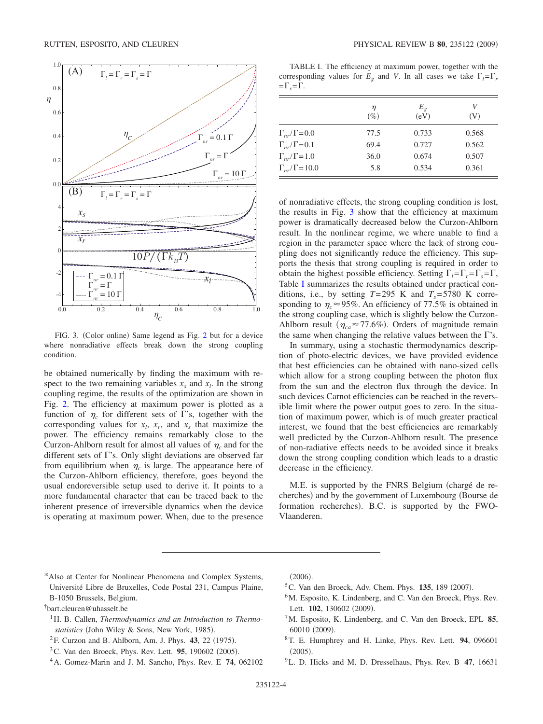<span id="page-3-7"></span>

FIG. 3. (Color online) Same legend as Fig. [2](#page-2-2) but for a device where nonradiative effects break down the strong coupling condition.

be obtained numerically by finding the maximum with respect to the two remaining variables  $x_s$  and  $x_l$ . In the strong coupling regime, the results of the optimization are shown in Fig. [2.](#page-2-2) The efficiency at maximum power is plotted as a function of  $\eta_c$  for different sets of  $\Gamma$ 's, together with the corresponding values for  $x_l$ ,  $x_r$ , and  $x_s$  that maximize the power. The efficiency remains remarkably close to the Curzon-Ahlborn result for almost all values of  $\eta_c$  and for the different sets of  $\Gamma$ 's. Only slight deviations are observed far from equilibrium when  $\eta_c$  is large. The appearance here of the Curzon-Ahlborn efficiency, therefore, goes beyond the usual endoreversible setup used to derive it. It points to a more fundamental character that can be traced back to the inherent presence of irreversible dynamics when the device is operating at maximum power. When, due to the presence

<span id="page-3-8"></span>TABLE I. The efficiency at maximum power, together with the corresponding values for  $E_{\rho}$  and *V*. In all cases we take  $\Gamma_l = \Gamma_r$  $=\Gamma_{\rm s}=\Gamma$ .

|                             | η<br>$(\%)$ | $E_{g}$<br>(eV) | V<br>(V) |  |
|-----------------------------|-------------|-----------------|----------|--|
| $\Gamma_{nr}/\Gamma$ =0.0   | 77.5        | 0.733           | 0.568    |  |
| $\Gamma_{nr}/\Gamma$ =0.1   | 69.4        | 0.727           | 0.562    |  |
| $\Gamma_{nr}/\Gamma$ = 1.0  | 36.0        | 0.674           | 0.507    |  |
| $\Gamma_{nr}/\Gamma$ = 10.0 | 5.8         | 0.534           | 0.361    |  |

of nonradiative effects, the strong coupling condition is lost, the results in Fig. [3](#page-3-7) show that the efficiency at maximum power is dramatically decreased below the Curzon-Ahlborn result. In the nonlinear regime, we where unable to find a region in the parameter space where the lack of strong coupling does not significantly reduce the efficiency. This supports the thesis that strong coupling is required in order to obtain the highest possible efficiency. Setting  $\Gamma_i = \Gamma_i = \Gamma_i = \Gamma$ , Table [I](#page-3-8) summarizes the results obtained under practical conditions, i.e., by setting  $T=295$  K and  $T_s=5780$  K corresponding to  $\eta_c \approx 95\%$ . An efficiency of 77.5% is obtained in the strong coupling case, which is slightly below the Curzon-Ahlborn result ( $\eta_{ca} \approx 77.6\%$ ). Orders of magnitude remain the same when changing the relative values between the  $\Gamma$ 's.

In summary, using a stochastic thermodynamics description of photo-electric devices, we have provided evidence that best efficiencies can be obtained with nano-sized cells which allow for a strong coupling between the photon flux from the sun and the electron flux through the device. In such devices Carnot efficiencies can be reached in the reversible limit where the power output goes to zero. In the situation of maximum power, which is of much greater practical interest, we found that the best efficiencies are remarkably well predicted by the Curzon-Ahlborn result. The presence of non-radiative effects needs to be avoided since it breaks down the strong coupling condition which leads to a drastic decrease in the efficiency.

M.E. is supported by the FNRS Belgium (chargé de recherches) and by the government of Luxembourg (Bourse de formation recherches). B.C. is supported by the FWO-Vlaanderen.

<span id="page-3-0"></span>\*Also at Center for Nonlinear Phenomena and Complex Systems, Université Libre de Bruxelles, Code Postal 231, Campus Plaine, B-1050 Brussels, Belgium.

<span id="page-3-1"></span>† bart.cleuren@uhasselt.be

- <span id="page-3-2"></span><sup>1</sup>H. B. Callen, *Thermodynamics and an Introduction to Thermo*statistics (John Wiley & Sons, New York, 1985).
- <span id="page-3-3"></span><sup>2</sup>F. Curzon and B. Ahlborn, Am. J. Phys. **43**, 22 (1975).
- <span id="page-3-4"></span><sup>3</sup>C. Van den Broeck, Phys. Rev. Lett. **95**, 190602 (2005).
- 4A. Gomez-Marin and J. M. Sancho, Phys. Rev. E **74**, 062102

 $(2006).$ 

- <sup>5</sup>C. Van den Broeck, Adv. Chem. Phys. **135**, 189 (2007).
- <span id="page-3-6"></span><sup>6</sup>M. Esposito, K. Lindenberg, and C. Van den Broeck, Phys. Rev. Lett. **102**, 130602 (2009).
- <span id="page-3-5"></span>7M. Esposito, K. Lindenberg, and C. Van den Broeck, EPL **85**, 60010 (2009).
- 8T. E. Humphrey and H. Linke, Phys. Rev. Lett. **94**, 096601  $(2005).$
- 9L. D. Hicks and M. D. Dresselhaus, Phys. Rev. B **47**, 16631